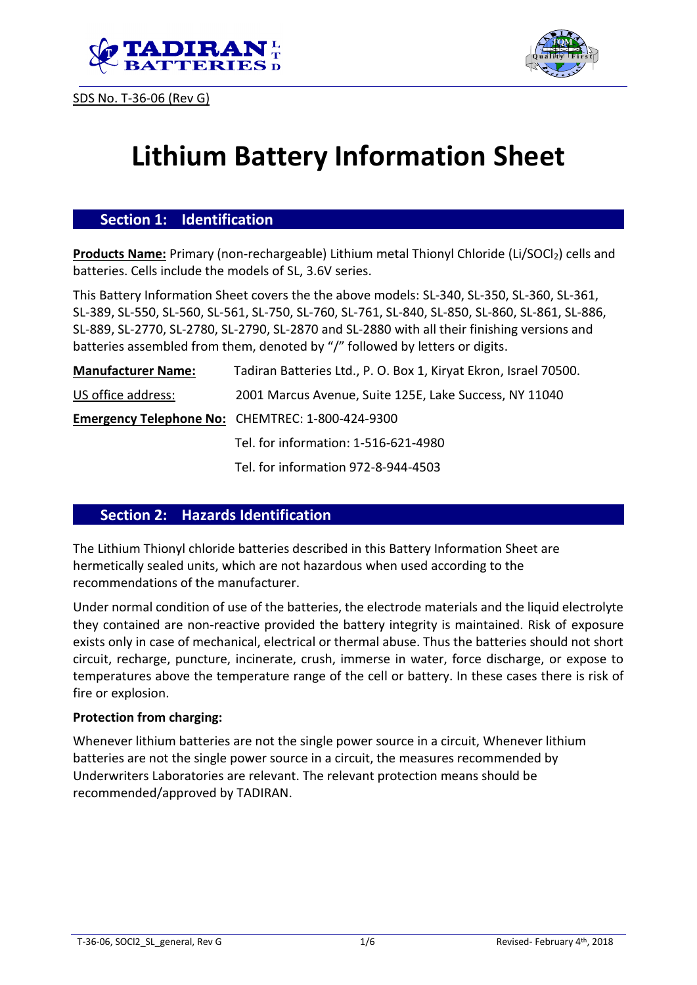





# **Lithium Battery Information Sheet**

## **Section 1: Identification**

**Products Name:** Primary (non-rechargeable) Lithium metal Thionyl Chloride (Li/SOCl<sub>2</sub>) cells and batteries. Cells include the models of SL, 3.6V series.

This Battery Information Sheet covers the the above models: SL-340, SL-350, SL-360, SL-361, SL-389, SL-550, SL-560, SL-561, SL-750, SL-760, SL-761, SL-840, SL-850, SL-860, SL-861, SL-886, SL-889, SL-2770, SL-2780, SL-2790, SL-2870 and SL-2880 with all their finishing versions and batteries assembled from them, denoted by "/" followed by letters or digits.

| <b>Manufacturer Name:</b> | Tadiran Batteries Ltd., P. O. Box 1, Kiryat Ekron, Israel 70500. |  |  |
|---------------------------|------------------------------------------------------------------|--|--|
| US office address:        | 2001 Marcus Avenue, Suite 125E, Lake Success, NY 11040           |  |  |
|                           | <b>Emergency Telephone No: CHEMTREC: 1-800-424-9300</b>          |  |  |
|                           | Tel. for information: 1-516-621-4980                             |  |  |
|                           | Tel. for information 972-8-944-4503                              |  |  |

## **Section 2: Hazards Identification**

The Lithium Thionyl chloride batteries described in this Battery Information Sheet are hermetically sealed units, which are not hazardous when used according to the recommendations of the manufacturer.

Under normal condition of use of the batteries, the electrode materials and the liquid electrolyte they contained are non-reactive provided the battery integrity is maintained. Risk of exposure exists only in case of mechanical, electrical or thermal abuse. Thus the batteries should not short circuit, recharge, puncture, incinerate, crush, immerse in water, force discharge, or expose to temperatures above the temperature range of the cell or battery. In these cases there is risk of fire or explosion.

#### **Protection from charging:**

Whenever lithium batteries are not the single power source in a circuit, Whenever lithium batteries are not the single power source in a circuit, the measures recommended by Underwriters Laboratories are relevant. The relevant protection means should be recommended/approved by TADIRAN.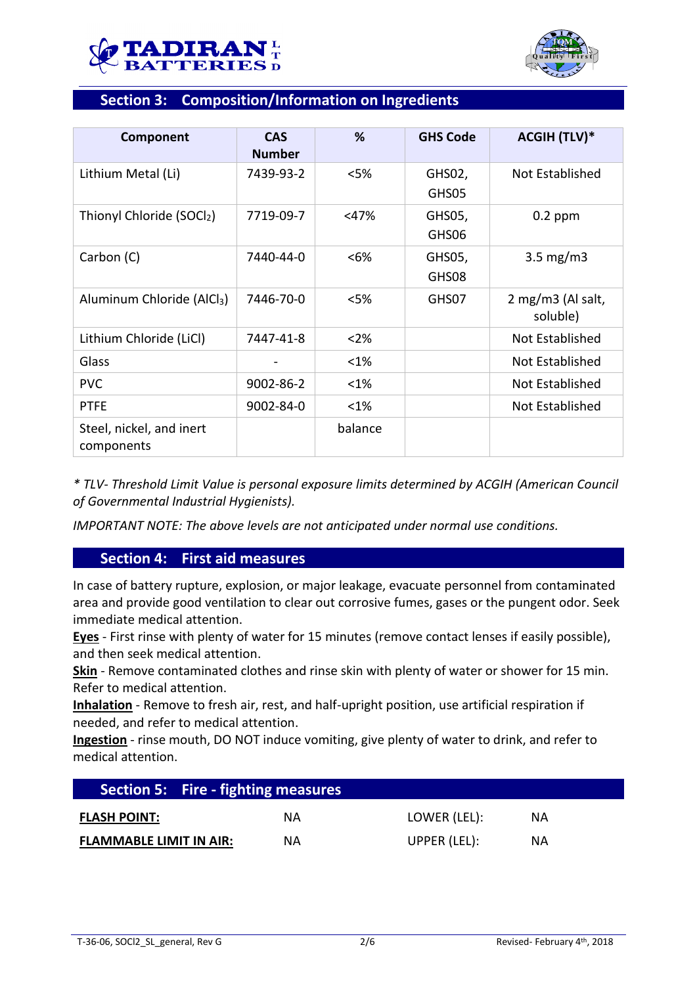



# **Section 3: Composition/Information on Ingredients**

| Component                              | <b>CAS</b><br><b>Number</b> | %       | <b>GHS Code</b> | <b>ACGIH (TLV)*</b>           |
|----------------------------------------|-----------------------------|---------|-----------------|-------------------------------|
| Lithium Metal (Li)                     | 7439-93-2                   | < 5%    | GHS02,<br>GHS05 | Not Established               |
| Thionyl Chloride (SOCl2)               | 7719-09-7                   | $<$ 47% | GHS05,<br>GHS06 | $0.2$ ppm                     |
| Carbon (C)                             | 7440-44-0                   | < 6%    | GHS05,<br>GHS08 | $3.5 \text{ mg/m}$            |
| Aluminum Chloride (AlCl <sub>3</sub> ) | 7446-70-0                   | <5%     | GHS07           | 2 mg/m3 (Al salt,<br>soluble) |
| Lithium Chloride (LiCl)                | 7447-41-8                   | $<$ 2%  |                 | <b>Not Established</b>        |
| Glass                                  |                             | <1%     |                 | Not Established               |
| <b>PVC</b>                             | 9002-86-2                   | <1%     |                 | Not Established               |
| <b>PTFE</b>                            | 9002-84-0                   | <1%     |                 | Not Established               |
| Steel, nickel, and inert<br>components |                             | balance |                 |                               |

*\* TLV- Threshold Limit Value is personal exposure limits determined by ACGIH (American Council of Governmental Industrial Hygienists).*

*IMPORTANT NOTE: The above levels are not anticipated under normal use conditions.*

## **Section 4: First aid measures**

In case of battery rupture, explosion, or major leakage, evacuate personnel from contaminated area and provide good ventilation to clear out corrosive fumes, gases or the pungent odor. Seek immediate medical attention.

**Eyes** - First rinse with plenty of water for 15 minutes (remove contact lenses if easily possible), and then seek medical attention.

**Skin** - Remove contaminated clothes and rinse skin with plenty of water or shower for 15 min. Refer to medical attention.

**Inhalation** - Remove to fresh air, rest, and half-upright position, use artificial respiration if needed, and refer to medical attention.

**Ingestion** - rinse mouth, DO NOT induce vomiting, give plenty of water to drink, and refer to medical attention.

| <b>Section 5: Fire - fighting measures</b> |    |              |    |  |
|--------------------------------------------|----|--------------|----|--|
| <b>FLASH POINT:</b>                        | ΝA | LOWER (LEL): | ΝA |  |
| <b>FLAMMABLE LIMIT IN AIR:</b>             | ΝA | UPPER (LEL): | ΝA |  |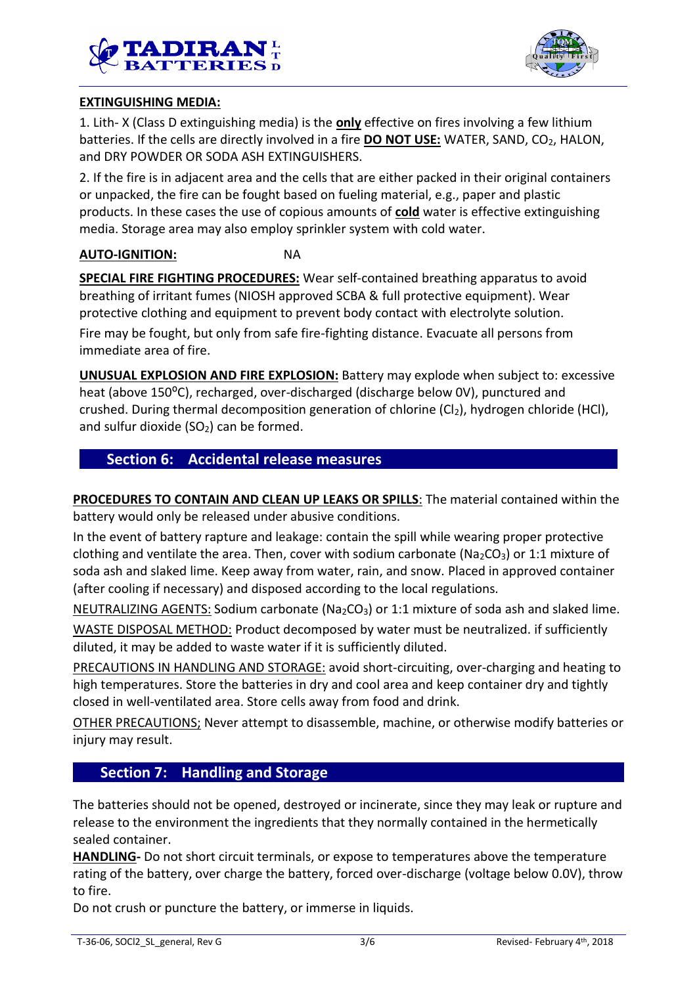



## **EXTINGUISHING MEDIA:**

1. Lith- X (Class D extinguishing media) is the **only** effective on fires involving a few lithium batteries. If the cells are directly involved in a fire **DO NOT USE:** WATER, SAND, CO<sub>2</sub>, HALON, and DRY POWDER OR SODA ASH EXTINGUISHERS.

2. If the fire is in adjacent area and the cells that are either packed in their original containers or unpacked, the fire can be fought based on fueling material, e.g., paper and plastic products. In these cases the use of copious amounts of **cold** water is effective extinguishing media. Storage area may also employ sprinkler system with cold water.

#### **AUTO-IGNITION:** NA

**SPECIAL FIRE FIGHTING PROCEDURES:** Wear self-contained breathing apparatus to avoid breathing of irritant fumes (NIOSH approved SCBA & full protective equipment). Wear protective clothing and equipment to prevent body contact with electrolyte solution.

Fire may be fought, but only from safe fire-fighting distance. Evacuate all persons from immediate area of fire.

**UNUSUAL EXPLOSION AND FIRE EXPLOSION:** Battery may explode when subject to: excessive heat (above 150<sup>o</sup>C), recharged, over-discharged (discharge below 0V), punctured and crushed. During thermal decomposition generation of chlorine  $(Cl<sub>2</sub>)$ , hydrogen chloride (HCl), and sulfur dioxide  $(SO<sub>2</sub>)$  can be formed.

## **Section 6: Accidental release measures**

**PROCEDURES TO CONTAIN AND CLEAN UP LEAKS OR SPILLS**: The material contained within the battery would only be released under abusive conditions.

In the event of battery rapture and leakage: contain the spill while wearing proper protective clothing and ventilate the area. Then, cover with sodium carbonate ( $Na<sub>2</sub>CO<sub>3</sub>$ ) or 1:1 mixture of soda ash and slaked lime. Keep away from water, rain, and snow. Placed in approved container (after cooling if necessary) and disposed according to the local regulations.

NEUTRALIZING AGENTS: Sodium carbonate ( $Na<sub>2</sub>CO<sub>3</sub>$ ) or 1:1 mixture of soda ash and slaked lime.

WASTE DISPOSAL METHOD: Product decomposed by water must be neutralized. if sufficiently diluted, it may be added to waste water if it is sufficiently diluted.

PRECAUTIONS IN HANDLING AND STORAGE: avoid short-circuiting, over-charging and heating to high temperatures. Store the batteries in dry and cool area and keep container dry and tightly closed in well-ventilated area. Store cells away from food and drink.

OTHER PRECAUTIONS; Never attempt to disassemble, machine, or otherwise modify batteries or injury may result.

## **Section 7: Handling and Storage**

The batteries should not be opened, destroyed or incinerate, since they may leak or rupture and release to the environment the ingredients that they normally contained in the hermetically sealed container.

**HANDLING-** Do not short circuit terminals, or expose to temperatures above the temperature rating of the battery, over charge the battery, forced over-discharge (voltage below 0.0V), throw to fire.

Do not crush or puncture the battery, or immerse in liquids.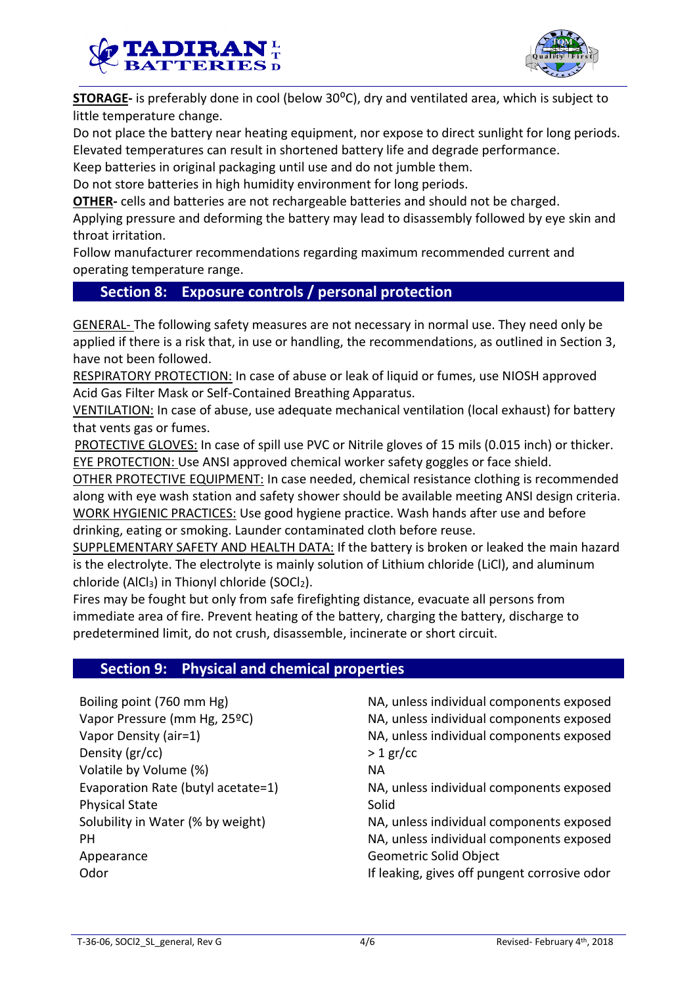



**STORAGE-** is preferably done in cool (below 30<sup>o</sup>C), dry and ventilated area, which is subject to little temperature change.

Do not place the battery near heating equipment, nor expose to direct sunlight for long periods. Elevated temperatures can result in shortened battery life and degrade performance.

Keep batteries in original packaging until use and do not jumble them.

Do not store batteries in high humidity environment for long periods.

**OTHER-** cells and batteries are not rechargeable batteries and should not be charged.

Applying pressure and deforming the battery may lead to disassembly followed by eye skin and throat irritation.

Follow manufacturer recommendations regarding maximum recommended current and operating temperature range.

## **Section 8: Exposure controls / personal protection**

GENERAL- The following safety measures are not necessary in normal use. They need only be applied if there is a risk that, in use or handling, the recommendations, as outlined in Section 3, have not been followed.

RESPIRATORY PROTECTION: In case of abuse or leak of liquid or fumes, use NIOSH approved Acid Gas Filter Mask or Self-Contained Breathing Apparatus.

VENTILATION: In case of abuse, use adequate mechanical ventilation (local exhaust) for battery that vents gas or fumes.

PROTECTIVE GLOVES: In case of spill use PVC or Nitrile gloves of 15 mils (0.015 inch) or thicker. EYE PROTECTION: Use ANSI approved chemical worker safety goggles or face shield.

OTHER PROTECTIVE EQUIPMENT: In case needed, chemical resistance clothing is recommended along with eye wash station and safety shower should be available meeting ANSI design criteria. WORK HYGIENIC PRACTICES: Use good hygiene practice. Wash hands after use and before drinking, eating or smoking. Launder contaminated cloth before reuse.

SUPPLEMENTARY SAFETY AND HEALTH DATA: If the battery is broken or leaked the main hazard is the electrolyte. The electrolyte is mainly solution of Lithium chloride (LiCl), and aluminum chloride (AlCl<sub>3</sub>) in Thionyl chloride (SOCl<sub>2</sub>).

Fires may be fought but only from safe firefighting distance, evacuate all persons from immediate area of fire. Prevent heating of the battery, charging the battery, discharge to predetermined limit, do not crush, disassemble, incinerate or short circuit.

## **Section 9: Physical and chemical properties**

Boiling point (760 mm Hg) NA, unless individual components exposed Vapor Pressure (mm Hg, 25ºC) NA, unless individual components exposed Vapor Density (air=1) NA, unless individual components exposed Density  $(\text{gr/cc})$  > 1 gr/cc Volatile by Volume (%) NA Evaporation Rate (butyl acetate=1) NA, unless individual components exposed Physical State Solid Solubility in Water (% by weight) NA, unless individual components exposed PH NA, unless individual components exposed Appearance Geometric Solid Object Odor **If leaking, gives off pungent corrosive odor** If leaking, gives off pungent corrosive odor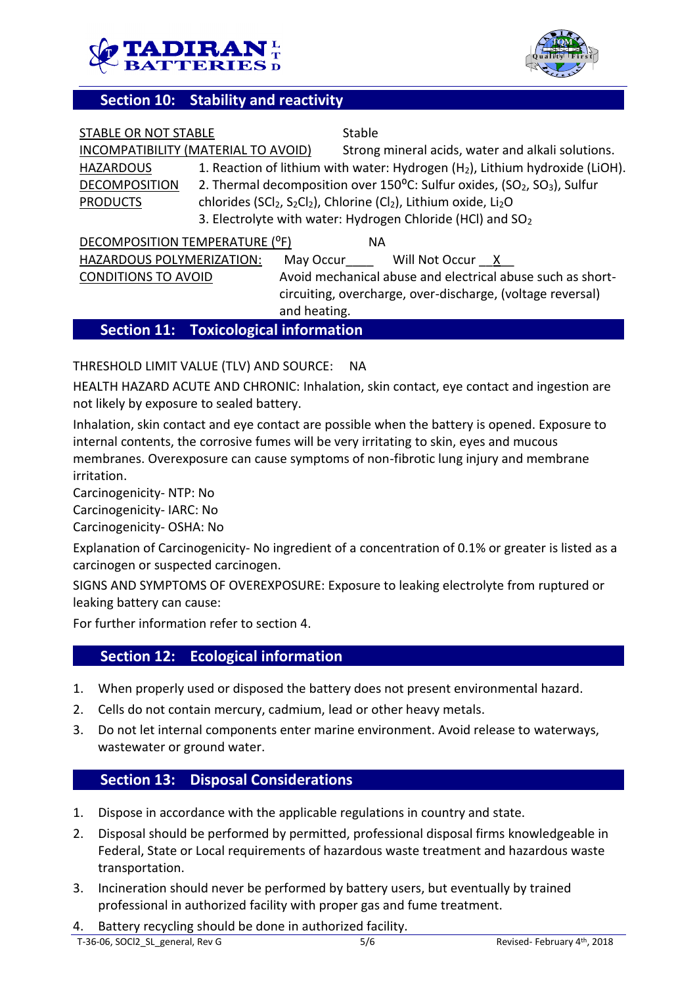



## **Section 10: Stability and reactivity**

|                                      | <b>Section 11: Toxicological information</b> |                                                                                                                               |  |  |
|--------------------------------------|----------------------------------------------|-------------------------------------------------------------------------------------------------------------------------------|--|--|
|                                      | and heating.                                 |                                                                                                                               |  |  |
|                                      |                                              | circuiting, overcharge, over-discharge, (voltage reversal)                                                                    |  |  |
| <b>CONDITIONS TO AVOID</b>           |                                              | Avoid mechanical abuse and electrical abuse such as short-                                                                    |  |  |
| HAZARDOUS POLYMERIZATION:            |                                              | May Occur Will Not Occur X                                                                                                    |  |  |
| DECOMPOSITION TEMPERATURE (°F)<br>ΝA |                                              |                                                                                                                               |  |  |
|                                      |                                              | 3. Electrolyte with water: Hydrogen Chloride (HCl) and SO <sub>2</sub>                                                        |  |  |
| <b>PRODUCTS</b>                      |                                              | chlorides (SCl <sub>2</sub> , S <sub>2</sub> Cl <sub>2</sub> ), Chlorine (Cl <sub>2</sub> ), Lithium oxide, Li <sub>2</sub> O |  |  |
| <b>DECOMPOSITION</b>                 |                                              | 2. Thermal decomposition over 150°C: Sulfur oxides, (SO <sub>2</sub> , SO <sub>3</sub> ), Sulfur                              |  |  |
| <b>HAZARDOUS</b>                     |                                              | 1. Reaction of lithium with water: Hydrogen (H <sub>2</sub> ), Lithium hydroxide (LiOH).                                      |  |  |
|                                      | INCOMPATIBILITY (MATERIAL TO AVOID)          | Strong mineral acids, water and alkali solutions.                                                                             |  |  |
| STABLE OR NOT STABLE                 |                                              | Stable                                                                                                                        |  |  |

## THRESHOLD LIMIT VALUE (TLV) AND SOURCE: NA

HEALTH HAZARD ACUTE AND CHRONIC: Inhalation, skin contact, eye contact and ingestion are not likely by exposure to sealed battery.

Inhalation, skin contact and eye contact are possible when the battery is opened. Exposure to internal contents, the corrosive fumes will be very irritating to skin, eyes and mucous membranes. Overexposure can cause symptoms of non-fibrotic lung injury and membrane irritation.

Carcinogenicity- NTP: No

Carcinogenicity- IARC: No

Carcinogenicity- OSHA: No

Explanation of Carcinogenicity- No ingredient of a concentration of 0.1% or greater is listed as a carcinogen or suspected carcinogen.

SIGNS AND SYMPTOMS OF OVEREXPOSURE: Exposure to leaking electrolyte from ruptured or leaking battery can cause:

For further information refer to section 4.

## **Section 12: Ecological information**

- 1. When properly used or disposed the battery does not present environmental hazard.
- 2. Cells do not contain mercury, cadmium, lead or other heavy metals.
- 3. Do not let internal components enter marine environment. Avoid release to waterways, wastewater or ground water.

#### **Section 13: Disposal Considerations**

- 1. Dispose in accordance with the applicable regulations in country and state.
- 2. Disposal should be performed by permitted, professional disposal firms knowledgeable in Federal, State or Local requirements of hazardous waste treatment and hazardous waste transportation.
- 3. Incineration should never be performed by battery users, but eventually by trained professional in authorized facility with proper gas and fume treatment.
- 4. Battery recycling should be done in authorized facility.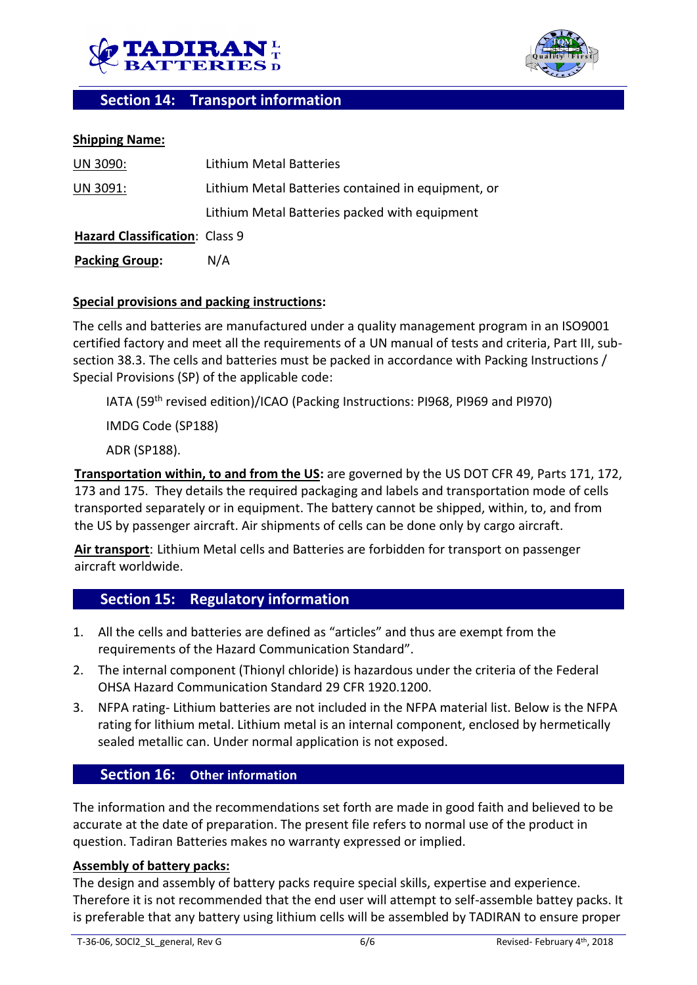



## **Section 14: Transport information**

#### **Shipping Name:**

| UN 3090:                       | Lithium Metal Batteries                            |
|--------------------------------|----------------------------------------------------|
| UN 3091:                       | Lithium Metal Batteries contained in equipment, or |
|                                | Lithium Metal Batteries packed with equipment      |
| Hazard Classification: Class 9 |                                                    |
| <b>Packing Group:</b>          | N/A                                                |

#### **Special provisions and packing instructions:**

The cells and batteries are manufactured under a quality management program in an ISO9001 certified factory and meet all the requirements of a UN manual of tests and criteria, Part III, subsection 38.3. The cells and batteries must be packed in accordance with Packing Instructions / Special Provisions (SP) of the applicable code:

IATA (59<sup>th</sup> revised edition)/ICAO (Packing Instructions: PI968, PI969 and PI970)

IMDG Code (SP188)

ADR (SP188).

**Transportation within, to and from the US:** are governed by the US DOT CFR 49, Parts 171, 172, 173 and 175. They details the required packaging and labels and transportation mode of cells transported separately or in equipment. The battery cannot be shipped, within, to, and from the US by passenger aircraft. Air shipments of cells can be done only by cargo aircraft.

**Air transport**: Lithium Metal cells and Batteries are forbidden for transport on passenger aircraft worldwide.

## **Section 15: Regulatory information**

- 1. All the cells and batteries are defined as "articles" and thus are exempt from the requirements of the Hazard Communication Standard".
- 2. The internal component (Thionyl chloride) is hazardous under the criteria of the Federal OHSA Hazard Communication Standard 29 CFR 1920.1200.
- 3. NFPA rating- Lithium batteries are not included in the NFPA material list. Below is the NFPA rating for lithium metal. Lithium metal is an internal component, enclosed by hermetically sealed metallic can. Under normal application is not exposed.

## **Section 16: Other information**

The information and the recommendations set forth are made in good faith and believed to be accurate at the date of preparation. The present file refers to normal use of the product in question. Tadiran Batteries makes no warranty expressed or implied.

#### **Assembly of battery packs:**

The design and assembly of battery packs require special skills, expertise and experience. Therefore it is not recommended that the end user will attempt to self-assemble battey packs. It is preferable that any battery using lithium cells will be assembled by TADIRAN to ensure proper